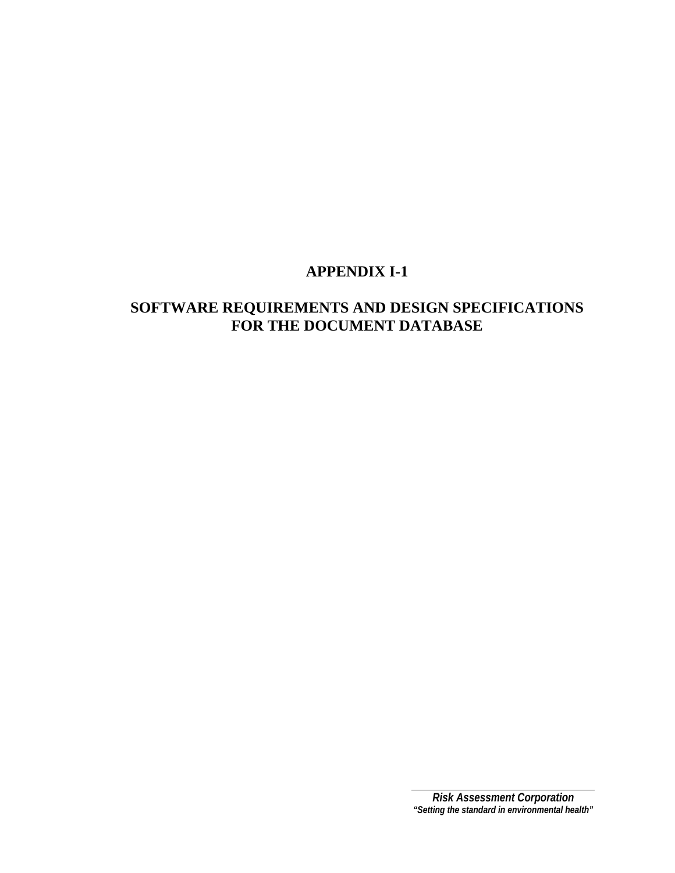# **SOFTWARE REQUIREMENTS AND DESIGN SPECIFICATIONS FOR THE DOCUMENT DATABASE**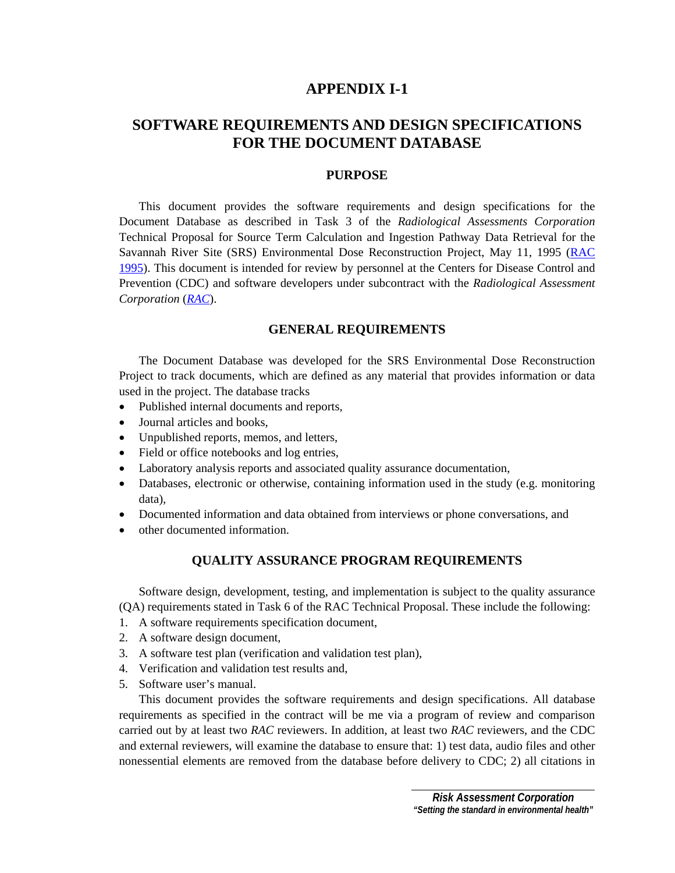# **SOFTWARE REQUIREMENTS AND DESIGN SPECIFICATIONS FOR THE DOCUMENT DATABASE**

## **PURPOSE**

 This document provides the software requirements and design specifications for the Document Database as described in Task 3 of the *Radiological Assessments Corporation* Technical Proposal for Source Term Calculation and Ingestion Pathway Data Retrieval for the Savannah River Site (SRS) Environmental Dose Reconstruction Project, May 11, 1995 [\(RAC](#page-26-0)  [1995](#page-26-0)). This document is intended for review by personnel at the Centers for Disease Control and Prevention (CDC) and software developers under subcontract with the *Radiological Assessment Corporation* (*[RAC](#page-10-0)*).

## **GENERAL REQUIREMENTS**

 The Document Database was developed for the SRS Environmental Dose Reconstruction Project to track documents, which are defined as any material that provides information or data used in the project. The database tracks

- Published internal documents and reports,
- Journal articles and books,
- Unpublished reports, memos, and letters,
- Field or office notebooks and log entries,
- Laboratory analysis reports and associated quality assurance documentation,
- Databases, electronic or otherwise, containing information used in the study (e.g. monitoring data),
- Documented information and data obtained from interviews or phone conversations, and
- other documented information.

## **QUALITY ASSURANCE PROGRAM REQUIREMENTS**

Software design, development, testing, and implementation is subject to the quality assurance (QA) requirements stated in Task 6 of the RAC Technical Proposal. These include the following:

- 1. A software requirements specification document,
- 2. A software design document,
- 3. A software test plan (verification and validation test plan),
- 4. Verification and validation test results and,
- 5. Software user's manual.

 This document provides the software requirements and design specifications. All database requirements as specified in the contract will be me via a program of review and comparison carried out by at least two *RAC* reviewers. In addition, at least two *RAC* reviewers, and the CDC and external reviewers, will examine the database to ensure that: 1) test data, audio files and other nonessential elements are removed from the database before delivery to CDC; 2) all citations in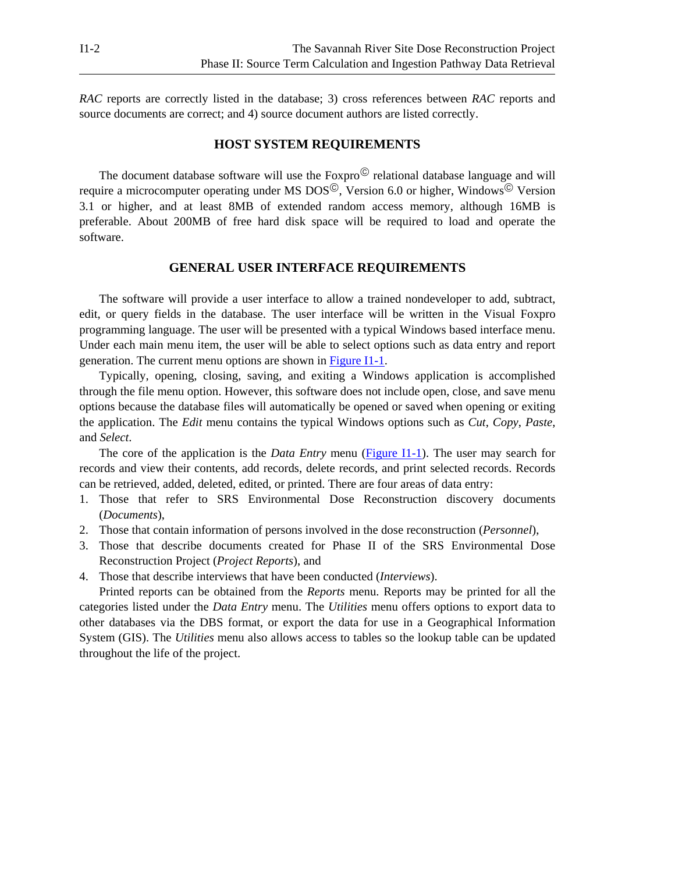*RAC* reports are correctly listed in the database; 3) cross references between *RAC* reports and source documents are correct; and 4) source document authors are listed correctly.

### **HOST SYSTEM REQUIREMENTS**

The document database software will use the  $Foxpro^{\circledcirc}$  relational database language and will require a microcomputer operating under MS  $DOS^{\circledcirc}$ , Version 6.0 or higher, Windows  $^{\circledcirc}$  Version 3.1 or higher, and at least 8MB of extended random access memory, although 16MB is preferable. About 200MB of free hard disk space will be required to load and operate the software.

### **GENERAL USER INTERFACE REQUIREMENTS**

 The software will provide a user interface to allow a trained nondeveloper to add, subtract, edit, or query fields in the database. The user interface will be written in the Visual Foxpro programming language. The user will be presented with a typical Windows based interface menu. Under each main menu item, the user will be able to select options such as data entry and report generation. The current menu options are shown in [Figure I1-1.](#page-4-0)

 Typically, opening, closing, saving, and exiting a Windows application is accomplished through the file menu option. However, this software does not include open, close, and save menu options because the database files will automatically be opened or saved when opening or exiting the application. The *Edit* menu contains the typical Windows options such as *Cut*, *Copy*, *Paste*, and *Select*.

 The core of the application is the *Data Entry* menu ([Figure I1-1\)](#page-4-0). The user may search for records and view their contents, add records, delete records, and print selected records. Records can be retrieved, added, deleted, edited, or printed. There are four areas of data entry:

- 1. Those that refer to SRS Environmental Dose Reconstruction discovery documents (*Documents*),
- 2. Those that contain information of persons involved in the dose reconstruction (*Personnel*),
- 3. Those that describe documents created for Phase II of the SRS Environmental Dose Reconstruction Project (*Project Reports*), and
- 4. Those that describe interviews that have been conducted (*Interviews*).

Printed reports can be obtained from the *Reports* menu. Reports may be printed for all the categories listed under the *Data Entry* menu. The *Utilities* menu offers options to export data to other databases via the DBS format, or export the data for use in a Geographical Information System (GIS). The *Utilities* menu also allows access to tables so the lookup table can be updated throughout the life of the project.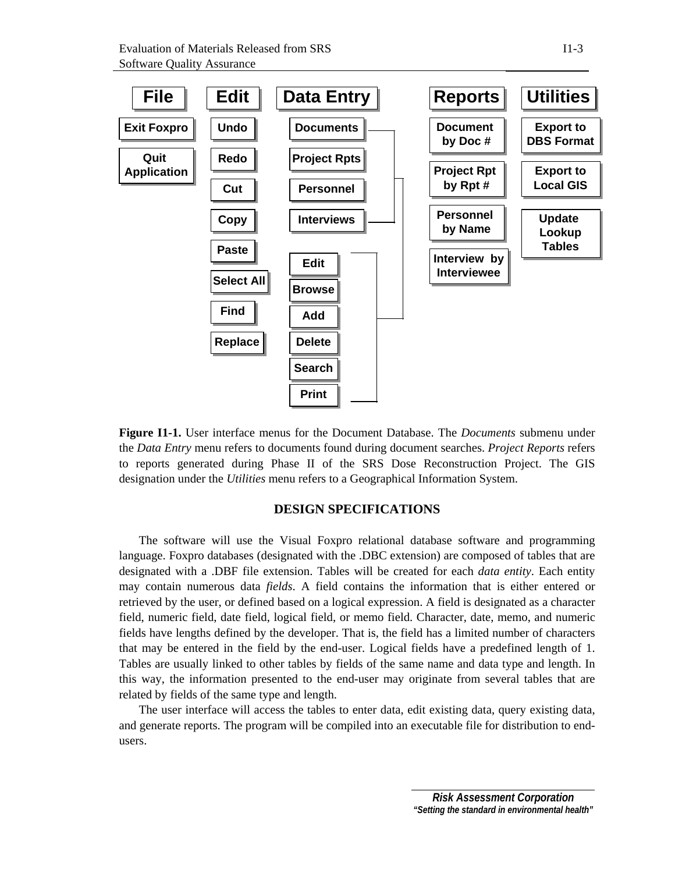<span id="page-4-0"></span>

**Figure I1-1.** User interface menus for the Document Database. The *Documents* submenu under the *Data Entry* menu refers to documents found during document searches. *Project Reports* refers to reports generated during Phase II of the SRS Dose Reconstruction Project. The GIS designation under the *Utilities* menu refers to a Geographical Information System.

## **DESIGN SPECIFICATIONS**

The software will use the Visual Foxpro relational database software and programming language. Foxpro databases (designated with the .DBC extension) are composed of tables that are designated with a .DBF file extension. Tables will be created for each *data entity*. Each entity may contain numerous data *fields*. A field contains the information that is either entered or retrieved by the user, or defined based on a logical expression. A field is designated as a character field, numeric field, date field, logical field, or memo field. Character, date, memo, and numeric fields have lengths defined by the developer. That is, the field has a limited number of characters that may be entered in the field by the end-user. Logical fields have a predefined length of 1. Tables are usually linked to other tables by fields of the same name and data type and length. In this way, the information presented to the end-user may originate from several tables that are related by fields of the same type and length.

 The user interface will access the tables to enter data, edit existing data, query existing data, and generate reports. The program will be compiled into an executable file for distribution to endusers.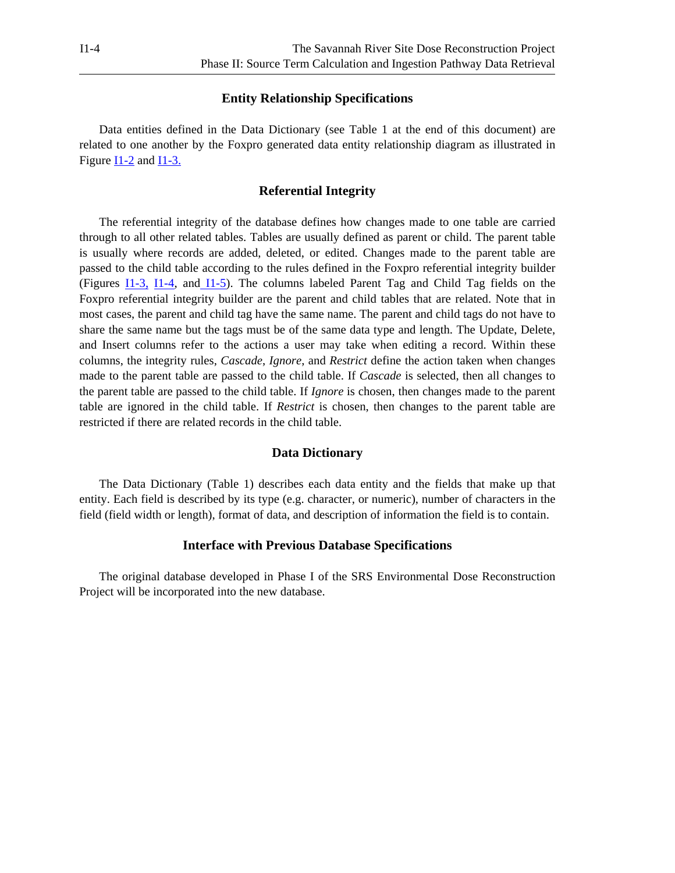### **Entity Relationship Specifications**

 Data entities defined in the Data Dictionary (see Table 1 at the end of this document) are related to one another by the Foxpro generated data entity relationship diagram as illustrated in Figur[e I1-2 a](#page-6-0)n[d I1-3.](#page-7-0)

## **Referential Integrity**

 The referential integrity of the database defines how changes made to one table are carried through to all other related tables. Tables are usually defined as parent or child. The parent table is usually where records are added, deleted, or edited. Changes made to the parent table are passed to the child table according to the rules defined in the Foxpro referential integrity builder (Figures [I1-3,](#page-7-0) [I1-4](#page-8-0), and [I1-5](#page-9-0)). The columns labeled Parent Tag and Child Tag fields on the Foxpro referential integrity builder are the parent and child tables that are related. Note that in most cases, the parent and child tag have the same name. The parent and child tags do not have to share the same name but the tags must be of the same data type and length. The Update, Delete, and Insert columns refer to the actions a user may take when editing a record. Within these columns, the integrity rules, *Cascade*, *Ignore*, and *Restrict* define the action taken when changes made to the parent table are passed to the child table. If *Cascade* is selected, then all changes to the parent table are passed to the child table. If *Ignore* is chosen, then changes made to the parent table are ignored in the child table. If *Restrict* is chosen, then changes to the parent table are restricted if there are related records in the child table.

#### **Data Dictionary**

 The Data Dictionary (Table 1) describes each data entity and the fields that make up that entity. Each field is described by its type (e.g. character, or numeric), number of characters in the field (field width or length), format of data, and description of information the field is to contain.

## **Interface with Previous Database Specifications**

The original database developed in Phase I of the SRS Environmental Dose Reconstruction Project will be incorporated into the new database.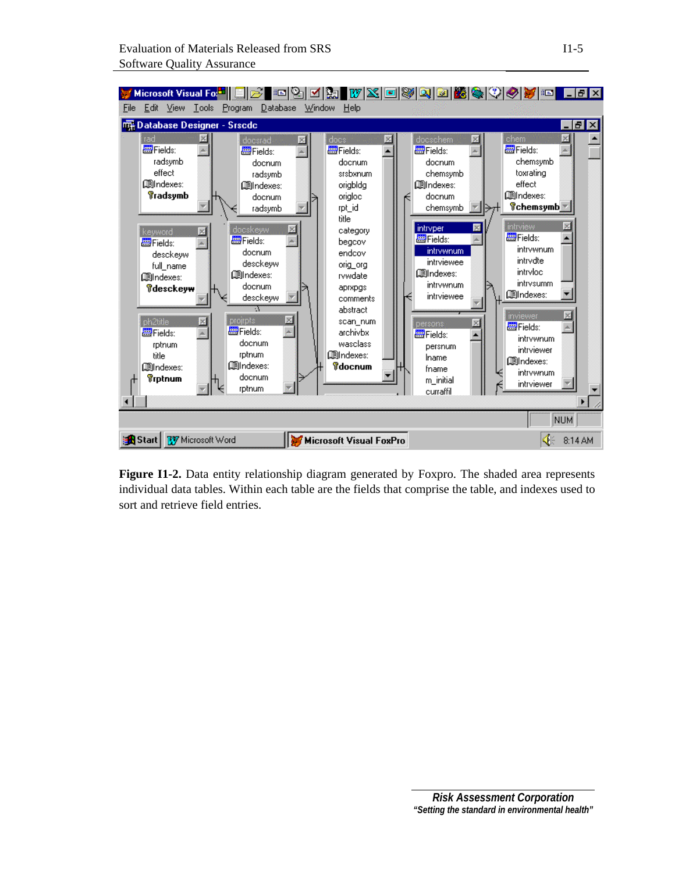<span id="page-6-0"></span>

**Figure I1-2.** Data entity relationship diagram generated by Foxpro. The shaded area represents individual data tables. Within each table are the fields that comprise the table, and indexes used to sort and retrieve field entries.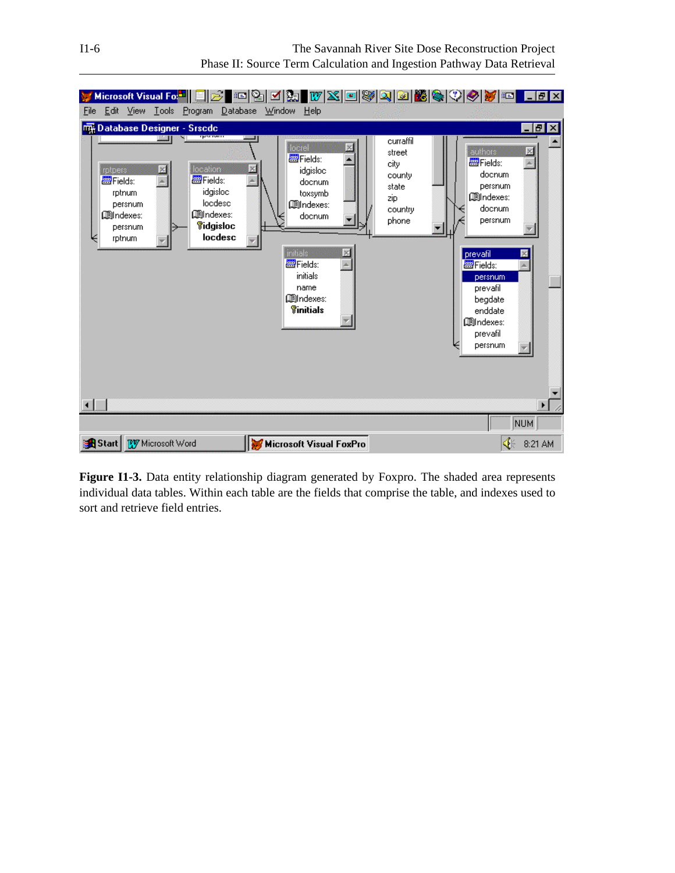<span id="page-7-0"></span>

**Figure I1-3.** Data entity relationship diagram generated by Foxpro. The shaded area represents individual data tables. Within each table are the fields that comprise the table, and indexes used to sort and retrieve field entries.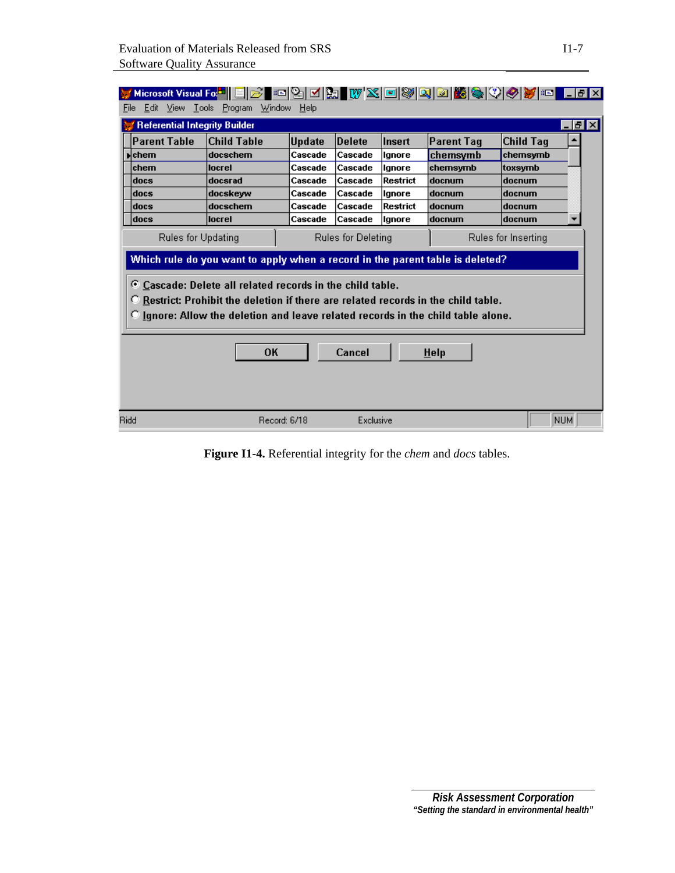<span id="page-8-0"></span>

|                                                                                                                                                                                                                                                                                                                                                                                                                                       | <u> Microsoft Visual Fo<mark>di</mark> EID en 21 die 21 die 21 metal volgt von 20 metal van 20 metal van 20 metal van 20 metal</u> |               |               |          |                   |                  |       |  |
|---------------------------------------------------------------------------------------------------------------------------------------------------------------------------------------------------------------------------------------------------------------------------------------------------------------------------------------------------------------------------------------------------------------------------------------|------------------------------------------------------------------------------------------------------------------------------------|---------------|---------------|----------|-------------------|------------------|-------|--|
| File                                                                                                                                                                                                                                                                                                                                                                                                                                  | Edit View Tools Program Window                                                                                                     | Help          |               |          |                   |                  |       |  |
| <b>Referential Integrity Builder</b>                                                                                                                                                                                                                                                                                                                                                                                                  |                                                                                                                                    |               |               |          |                   |                  | - PIX |  |
| <b>Parent Table</b>                                                                                                                                                                                                                                                                                                                                                                                                                   | <b>Child Table</b>                                                                                                                 | <b>Update</b> | <b>Delete</b> | Insert   | <b>Parent Tag</b> | <b>Child Tag</b> |       |  |
| $\blacksquare$ chem                                                                                                                                                                                                                                                                                                                                                                                                                   | docschem                                                                                                                           | Cascade       | Cascade       | Ignore   | chemsymb          | chemsymb         |       |  |
| chem                                                                                                                                                                                                                                                                                                                                                                                                                                  | locrel                                                                                                                             | Cascade       | Cascade       | lgnore   | chemsymb          | toxsymb          |       |  |
| docs                                                                                                                                                                                                                                                                                                                                                                                                                                  | docsrad                                                                                                                            | Cascade       | Cascade       | Restrict | docnum            | docnum           |       |  |
| docs                                                                                                                                                                                                                                                                                                                                                                                                                                  | docskeyw                                                                                                                           | Cascade       | Cascade       | lgnore   | docnum            | docnum           |       |  |
| docs                                                                                                                                                                                                                                                                                                                                                                                                                                  | docschem                                                                                                                           | Cascade       | Cascade       | Restrict | docnum            | docnum           |       |  |
| docs                                                                                                                                                                                                                                                                                                                                                                                                                                  | locrel                                                                                                                             | Cascade       | Cascade       | lanore   | docnum            | docnum           |       |  |
| Rules for Updating<br><b>Rules for Deleting</b><br>Rules for Inserting<br>Which rule do you want to apply when a record in the parent table is deleted?<br>Cascade: Delete all related records in the child table.<br><b>C</b> Restrict: Prohibit the deletion if there are related records in the child table.<br>C Ignore: Allow the deletion and leave related records in the child table alone.<br><b>OK</b><br>Cancel<br>$H$ elp |                                                                                                                                    |               |               |          |                   |                  |       |  |
|                                                                                                                                                                                                                                                                                                                                                                                                                                       |                                                                                                                                    |               |               |          |                   |                  |       |  |

**Figure I1-4.** Referential integrity for the *chem* and *docs* tables.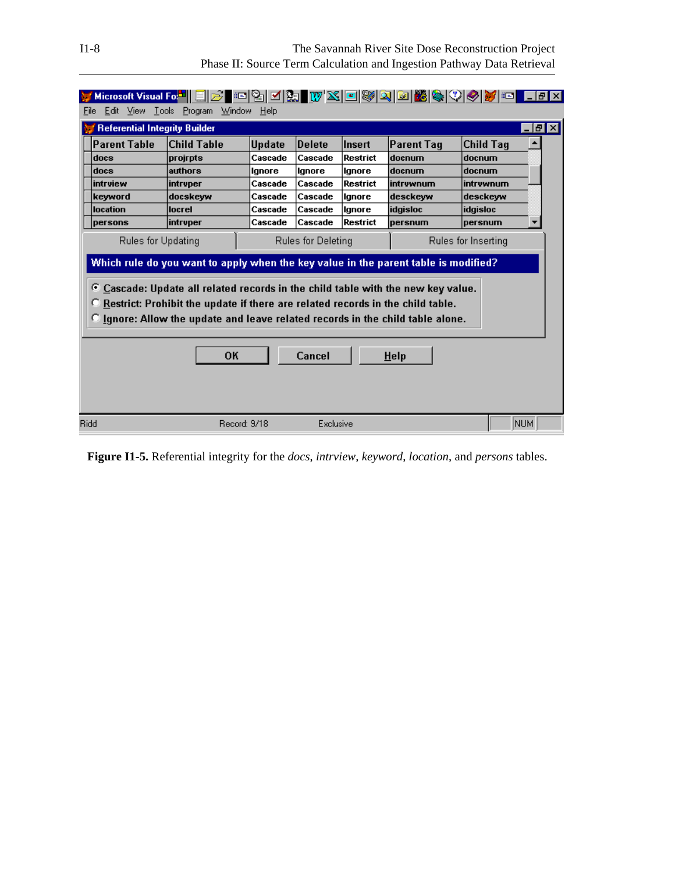<span id="page-9-0"></span>

| File                                                                                                                                                                                                                                                                                                                                                                                                                                             | Edit View Tools Program              | Microsoft Visual Fo <mark>.*   E </mark> B E  B  M &   M &   W X   E  W X   E  W   Q   G   <mark>M</mark> &   V   Ø   T   E<br>Window | Help                     |                          |                    |                             |                            | $\Box$ e $\bm{x}$     |
|--------------------------------------------------------------------------------------------------------------------------------------------------------------------------------------------------------------------------------------------------------------------------------------------------------------------------------------------------------------------------------------------------------------------------------------------------|--------------------------------------|---------------------------------------------------------------------------------------------------------------------------------------|--------------------------|--------------------------|--------------------|-----------------------------|----------------------------|-----------------------|
|                                                                                                                                                                                                                                                                                                                                                                                                                                                  | <b>Referential Integrity Builder</b> |                                                                                                                                       |                          |                          |                    |                             |                            | $\Box$ e $\mathbf{x}$ |
|                                                                                                                                                                                                                                                                                                                                                                                                                                                  | <b>Parent Table</b><br>docs          | <b>Child Table</b><br>projrpts                                                                                                        | <b>Update</b><br>Cascade | <b>Delete</b><br>Cascade | Insert<br>Restrict | <b>Parent Tag</b><br>docnum | <b>Child Tag</b><br>docnum |                       |
|                                                                                                                                                                                                                                                                                                                                                                                                                                                  | docs                                 | authors                                                                                                                               | lgnore                   | lgnore                   | lgnore             | docnum                      | docnum                     |                       |
|                                                                                                                                                                                                                                                                                                                                                                                                                                                  | intrview<br>keyword                  | intryper<br>docskeyw                                                                                                                  | Cascade<br>Cascade       | Cascade<br>Cascade       | Restrict<br>lgnore | İntrvwnum<br> desckevw      | intruwnum<br>desckeyw      |                       |
|                                                                                                                                                                                                                                                                                                                                                                                                                                                  | location                             | locrel                                                                                                                                | Cascade                  | Cascade                  | llanore            | <b>idgisloc</b>             | <b>idgisloc</b>            |                       |
|                                                                                                                                                                                                                                                                                                                                                                                                                                                  | persons                              | intruper                                                                                                                              | Cascade                  | Cascade                  | Restrict           | persnum                     | persnum                    | ▼                     |
| Rules for Updating<br><b>Rules for Deleting</b><br>Rules for Inserting<br>Which rule do you want to apply when the key value in the parent table is modified?<br>C Cascade: Update all related records in the child table with the new key value.<br>Restrict: Prohibit the update if there are related records in the child table.<br>O Ignore: Allow the update and leave related records in the child table alone.<br>Cancel<br>OК<br>$H$ elp |                                      |                                                                                                                                       |                          |                          |                    |                             |                            |                       |
| <b>Ridd</b>                                                                                                                                                                                                                                                                                                                                                                                                                                      |                                      | Record: 9/18                                                                                                                          |                          | Exclusive                |                    |                             |                            | NUM.                  |

**Figure I1-5.** Referential integrity for the *docs*, *intrview*, *keyword*, *location*, and *persons* tables.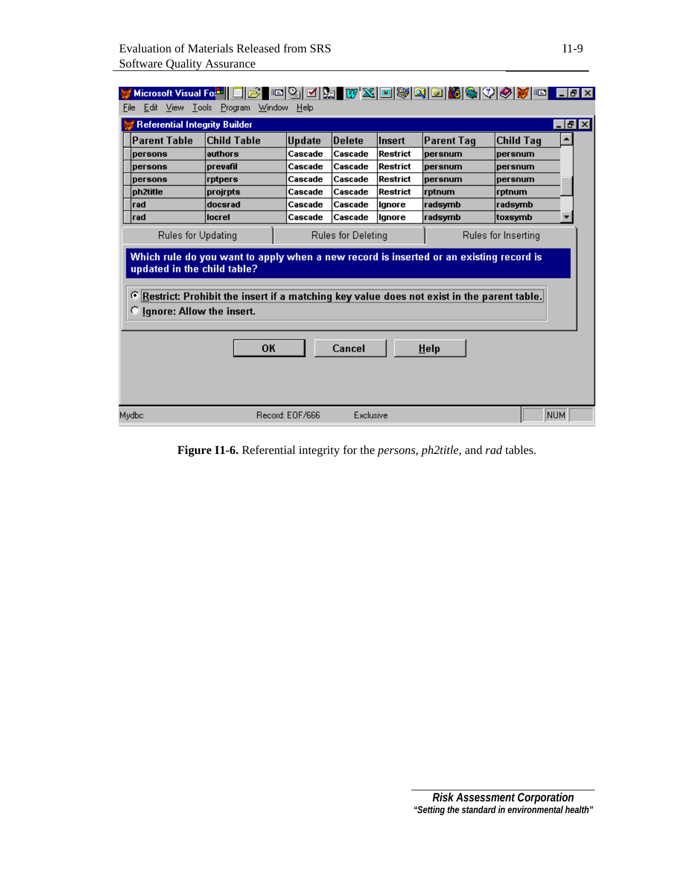<span id="page-10-0"></span>

| HAJA WXOWQOBQQQOO HAX<br>Edit View Tools<br>Program<br>Window<br>Help<br>File                                                                                                                                                                                                                                                                                              |                    |                 |               |                 |                   |                  |                 |  |
|----------------------------------------------------------------------------------------------------------------------------------------------------------------------------------------------------------------------------------------------------------------------------------------------------------------------------------------------------------------------------|--------------------|-----------------|---------------|-----------------|-------------------|------------------|-----------------|--|
| <b>Referential Integrity Builder</b>                                                                                                                                                                                                                                                                                                                                       |                    |                 |               |                 |                   |                  | <u>_ [리 ×  </u> |  |
| <b>Parent Table</b>                                                                                                                                                                                                                                                                                                                                                        | <b>Child Table</b> | <b>Update</b>   | <b>Delete</b> | Insert          | <b>Parent Tag</b> | <b>Child Tag</b> | ▲               |  |
| persons                                                                                                                                                                                                                                                                                                                                                                    | authors            | Cascade         | Cascade       | <b>Restrict</b> | bersnum           | persnum          |                 |  |
| persons                                                                                                                                                                                                                                                                                                                                                                    | <b>prevafil</b>    | Cascade         | Cascade       | Restrict        | persnum           | persnum          |                 |  |
| <b>persons</b>                                                                                                                                                                                                                                                                                                                                                             | rptpers            | Cascade         | Cascade       | <b>Restrict</b> | <b>persnum</b>    | persnum          |                 |  |
| ph2title                                                                                                                                                                                                                                                                                                                                                                   | projrpts           | Cascade         | Cascade       | Restrict        | rptnum            | rptnum           |                 |  |
| rad                                                                                                                                                                                                                                                                                                                                                                        | docsrad            | Cascade         | Cascade       | Ignore          | radsymb           | radsymb          |                 |  |
| rad                                                                                                                                                                                                                                                                                                                                                                        | locrel             | Cascade         | Cascade       | llanore         | radsymb           | toxsymb          |                 |  |
| Rules for Updating<br>Rules for Deleting<br>Rules for Inserting<br>Which rule do you want to apply when a new record is inserted or an existing record is<br>updated in the child table?<br><sup>C</sup> Restrict: Prohibit the insert if a matching key value does not exist in the parent table.<br><b>C</b> <i>lgnore: Allow the insert.</i><br>OK<br>Cancel<br>$H$ elp |                    |                 |               |                 |                   |                  |                 |  |
| Mydbo                                                                                                                                                                                                                                                                                                                                                                      |                    | Record: EOF/666 | Exclusive     |                 |                   |                  | <b>NUM</b>      |  |

**Figure I1-6.** Referential integrity for the *persons*, *ph2title*, and *rad* tables.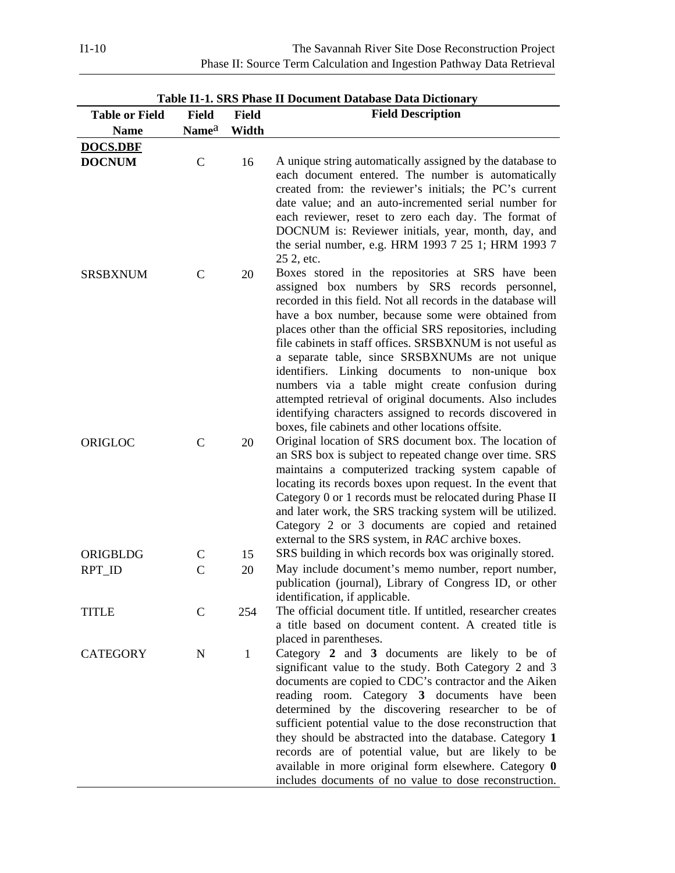| <b>Table or Field</b> | <b>Field</b>      | <b>Field</b> | Table II-I. DIW I hase II Document Database Data Dictional y<br><b>Field Description</b>                                                                                                                                                                                                                                                                                                                                                                                                                                                                                                                                                                                                       |
|-----------------------|-------------------|--------------|------------------------------------------------------------------------------------------------------------------------------------------------------------------------------------------------------------------------------------------------------------------------------------------------------------------------------------------------------------------------------------------------------------------------------------------------------------------------------------------------------------------------------------------------------------------------------------------------------------------------------------------------------------------------------------------------|
| <b>Name</b>           | Name <sup>a</sup> | Width        |                                                                                                                                                                                                                                                                                                                                                                                                                                                                                                                                                                                                                                                                                                |
|                       |                   |              |                                                                                                                                                                                                                                                                                                                                                                                                                                                                                                                                                                                                                                                                                                |
| <b>DOCS.DBF</b>       |                   |              |                                                                                                                                                                                                                                                                                                                                                                                                                                                                                                                                                                                                                                                                                                |
| <b>DOCNUM</b>         | $\mathsf{C}$      | 16           | A unique string automatically assigned by the database to<br>each document entered. The number is automatically<br>created from: the reviewer's initials; the PC's current<br>date value; and an auto-incremented serial number for<br>each reviewer, reset to zero each day. The format of<br>DOCNUM is: Reviewer initials, year, month, day, and<br>the serial number, e.g. HRM 1993 7 25 1; HRM 1993 7<br>25 2, etc.                                                                                                                                                                                                                                                                        |
| <b>SRSBXNUM</b>       | $\mathcal{C}$     | 20           | Boxes stored in the repositories at SRS have been<br>assigned box numbers by SRS records personnel,<br>recorded in this field. Not all records in the database will<br>have a box number, because some were obtained from<br>places other than the official SRS repositories, including<br>file cabinets in staff offices. SRSBXNUM is not useful as<br>a separate table, since SRSBXNUMs are not unique<br>identifiers. Linking documents to non-unique box<br>numbers via a table might create confusion during<br>attempted retrieval of original documents. Also includes<br>identifying characters assigned to records discovered in<br>boxes, file cabinets and other locations offsite. |
| ORIGLOC               | $\mathsf{C}$      | 20           | Original location of SRS document box. The location of<br>an SRS box is subject to repeated change over time. SRS<br>maintains a computerized tracking system capable of<br>locating its records boxes upon request. In the event that<br>Category 0 or 1 records must be relocated during Phase II<br>and later work, the SRS tracking system will be utilized.<br>Category 2 or 3 documents are copied and retained<br>external to the SRS system, in RAC archive boxes.                                                                                                                                                                                                                     |
| ORIGBLDG              | $\mathbf C$       | 15           | SRS building in which records box was originally stored.                                                                                                                                                                                                                                                                                                                                                                                                                                                                                                                                                                                                                                       |
| RPT_ID                | $\mathcal{C}$     | 20           | May include document's memo number, report number,<br>publication (journal), Library of Congress ID, or other<br>identification, if applicable.                                                                                                                                                                                                                                                                                                                                                                                                                                                                                                                                                |
| <b>TITLE</b>          | $\mathsf{C}$      | 254          | The official document title. If untitled, researcher creates<br>a title based on document content. A created title is<br>placed in parentheses.                                                                                                                                                                                                                                                                                                                                                                                                                                                                                                                                                |
| <b>CATEGORY</b>       | $\mathbf N$       | $\mathbf{1}$ | Category 2 and 3 documents are likely to be of<br>significant value to the study. Both Category 2 and 3<br>documents are copied to CDC's contractor and the Aiken<br>reading room. Category 3 documents have been<br>determined by the discovering researcher to be of<br>sufficient potential value to the dose reconstruction that<br>they should be abstracted into the database. Category 1<br>records are of potential value, but are likely to be<br>available in more original form elsewhere. Category 0<br>includes documents of no value to dose reconstruction.                                                                                                                     |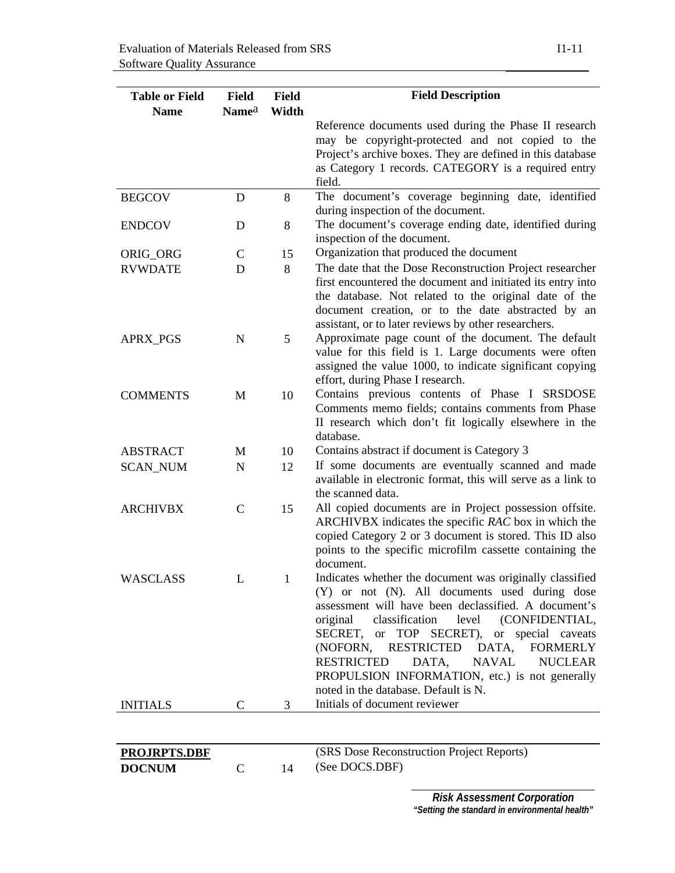| <b>Table or Field</b> | <b>Field</b>      | <b>Field</b> | <b>Field Description</b>                                                                                                                                                                                                                                                                                                                                                                                                                                                        |
|-----------------------|-------------------|--------------|---------------------------------------------------------------------------------------------------------------------------------------------------------------------------------------------------------------------------------------------------------------------------------------------------------------------------------------------------------------------------------------------------------------------------------------------------------------------------------|
| <b>Name</b>           | Name <sup>a</sup> | Width        |                                                                                                                                                                                                                                                                                                                                                                                                                                                                                 |
|                       |                   |              | Reference documents used during the Phase II research                                                                                                                                                                                                                                                                                                                                                                                                                           |
|                       |                   |              | may be copyright-protected and not copied to the                                                                                                                                                                                                                                                                                                                                                                                                                                |
|                       |                   |              | Project's archive boxes. They are defined in this database                                                                                                                                                                                                                                                                                                                                                                                                                      |
|                       |                   |              | as Category 1 records. CATEGORY is a required entry                                                                                                                                                                                                                                                                                                                                                                                                                             |
|                       |                   |              | field.                                                                                                                                                                                                                                                                                                                                                                                                                                                                          |
| <b>BEGCOV</b>         | D                 | 8            | The document's coverage beginning date, identified<br>during inspection of the document.                                                                                                                                                                                                                                                                                                                                                                                        |
| <b>ENDCOV</b>         | D                 | 8            | The document's coverage ending date, identified during<br>inspection of the document.                                                                                                                                                                                                                                                                                                                                                                                           |
| ORIG_ORG              | $\mathbf C$       | 15           | Organization that produced the document                                                                                                                                                                                                                                                                                                                                                                                                                                         |
| <b>RVWDATE</b>        | D                 | 8            | The date that the Dose Reconstruction Project researcher<br>first encountered the document and initiated its entry into<br>the database. Not related to the original date of the<br>document creation, or to the date abstracted by an<br>assistant, or to later reviews by other researchers.                                                                                                                                                                                  |
| APRX_PGS              | $\mathbf N$       | 5            | Approximate page count of the document. The default<br>value for this field is 1. Large documents were often<br>assigned the value 1000, to indicate significant copying<br>effort, during Phase I research.                                                                                                                                                                                                                                                                    |
| <b>COMMENTS</b>       | M                 | 10           | Contains previous contents of Phase I SRSDOSE<br>Comments memo fields; contains comments from Phase<br>II research which don't fit logically elsewhere in the<br>database.                                                                                                                                                                                                                                                                                                      |
| <b>ABSTRACT</b>       | M                 | 10           | Contains abstract if document is Category 3                                                                                                                                                                                                                                                                                                                                                                                                                                     |
| <b>SCAN_NUM</b>       | $\mathbf N$       | 12           | If some documents are eventually scanned and made<br>available in electronic format, this will serve as a link to<br>the scanned data.                                                                                                                                                                                                                                                                                                                                          |
| <b>ARCHIVBX</b>       | $\mathsf{C}$      | 15           | All copied documents are in Project possession offsite.<br>ARCHIVBX indicates the specific RAC box in which the<br>copied Category 2 or 3 document is stored. This ID also<br>points to the specific microfilm cassette containing the<br>document.                                                                                                                                                                                                                             |
| WASCLASS              | L.                | 1            | Indicates whether the document was originally classified<br>(Y) or not (N). All documents used during dose<br>assessment will have been declassified. A document's<br>classification<br>level<br>(CONFIDENTIAL,<br>original<br>SECRET, or TOP SECRET), or special caveats<br>RESTRICTED DATA,<br>(NOFORN,<br><b>FORMERLY</b><br>DATA,<br>NAVAL<br><b>RESTRICTED</b><br><b>NUCLEAR</b><br>PROPULSION INFORMATION, etc.) is not generally<br>noted in the database. Default is N. |
| <b>INITIALS</b>       | $\mathsf{C}$      | 3            | Initials of document reviewer                                                                                                                                                                                                                                                                                                                                                                                                                                                   |
|                       |                   |              |                                                                                                                                                                                                                                                                                                                                                                                                                                                                                 |

| DOCNUM |  |  |
|--------|--|--|
|        |  |  |

**PROJRPTS.DBF** (SRS Dose Reconstruction Project Reports)<br>DOCNUM C 14 (See DOCS.DBF) 14 (See DOCS.DBF)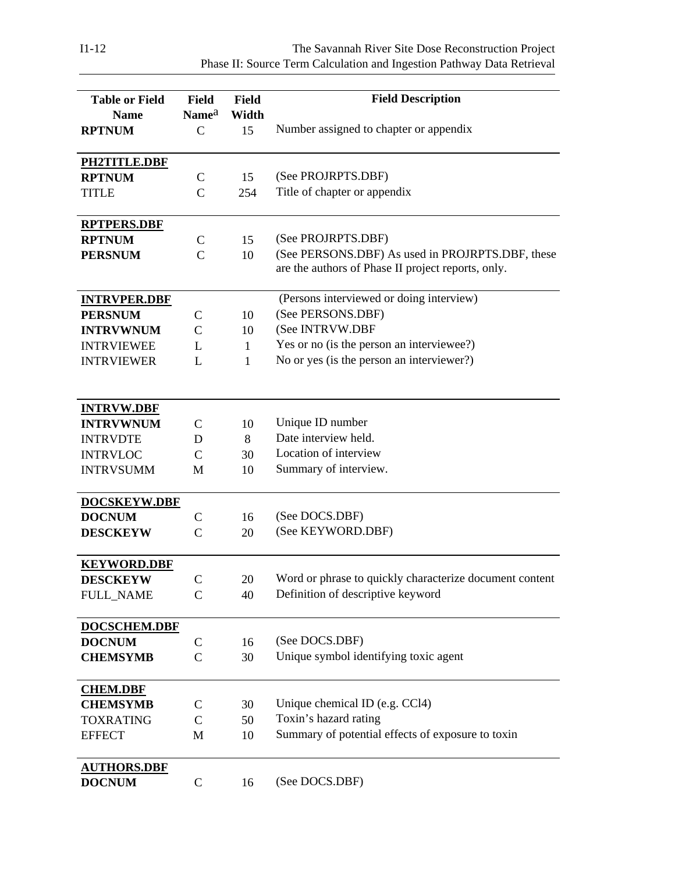I1-12 The Savannah River Site Dose Reconstruction Project Phase II: Source Term Calculation and Ingestion Pathway Data Retrieval

| <b>Table or Field</b> | Field                       | <b>Field</b> | <b>Field Description</b>                                |
|-----------------------|-----------------------------|--------------|---------------------------------------------------------|
| <b>Name</b>           | Name <sup>a</sup>           | Width        |                                                         |
| <b>RPTNUM</b>         | $\mathsf{C}$                | 15           | Number assigned to chapter or appendix                  |
|                       |                             |              |                                                         |
| PH2TITLE.DBF          |                             |              |                                                         |
| <b>RPTNUM</b>         | $\mathsf{C}$                | 15           | (See PROJRPTS.DBF)                                      |
| <b>TITLE</b>          | $\mathsf{C}$                | 254          | Title of chapter or appendix                            |
|                       |                             |              |                                                         |
| <b>RPTPERS.DBF</b>    |                             |              |                                                         |
| <b>RPTNUM</b>         | $\mathbf C$                 | 15           | (See PROJRPTS.DBF)                                      |
| <b>PERSNUM</b>        | $\mathcal{C}$               | 10           | (See PERSONS.DBF) As used in PROJRPTS.DBF, these        |
|                       |                             |              | are the authors of Phase II project reports, only.      |
|                       |                             |              |                                                         |
| <b>INTRVPER.DBF</b>   |                             |              | (Persons interviewed or doing interview)                |
| <b>PERSNUM</b>        | $\mathsf{C}$                | 10           | (See PERSONS.DBF)                                       |
| <b>INTRVWNUM</b>      | $\mathcal{C}$               | 10           | (See INTRVW.DBF                                         |
| <b>INTRVIEWEE</b>     | L                           | $\mathbf{1}$ | Yes or no (is the person an interviewee?)               |
| <b>INTRVIEWER</b>     | L                           | $\mathbf{1}$ | No or yes (is the person an interviewer?)               |
|                       |                             |              |                                                         |
|                       |                             |              |                                                         |
| <b>INTRVW.DBF</b>     |                             |              |                                                         |
| <b>INTRVWNUM</b>      | $\mathsf{C}$                | 10           | Unique ID number                                        |
| <b>INTRVDTE</b>       | D                           | 8            | Date interview held.                                    |
| <b>INTRVLOC</b>       | $\mathcal{C}$               | 30           | Location of interview                                   |
| <b>INTRVSUMM</b>      | M                           | 10           | Summary of interview.                                   |
|                       |                             |              |                                                         |
| DOCSKEYW.DBF          |                             |              |                                                         |
| <b>DOCNUM</b>         | $\mathbf C$                 | 16           | (See DOCS.DBF)                                          |
| <b>DESCKEYW</b>       | $\mathcal{C}$               | 20           | (See KEYWORD.DBF)                                       |
|                       |                             |              |                                                         |
| <b>KEYWORD.DBF</b>    |                             |              | Word or phrase to quickly characterize document content |
| <b>DESCKEYW</b>       | $\mathbf C$<br>$\mathsf{C}$ | 20<br>40     | Definition of descriptive keyword                       |
| <b>FULL_NAME</b>      |                             |              |                                                         |
| <b>DOCSCHEM.DBF</b>   |                             |              |                                                         |
| <b>DOCNUM</b>         | $\mathsf{C}$                | 16           | (See DOCS.DBF)                                          |
| <b>CHEMSYMB</b>       | $\mathcal{C}$               | 30           | Unique symbol identifying toxic agent                   |
|                       |                             |              |                                                         |
| <b>CHEM.DBF</b>       |                             |              |                                                         |
| <b>CHEMSYMB</b>       | $\mathsf{C}$                | 30           | Unique chemical ID (e.g. CCl4)                          |
| <b>TOXRATING</b>      | $\mathsf{C}$                | 50           | Toxin's hazard rating                                   |
| <b>EFFECT</b>         | M                           | 10           | Summary of potential effects of exposure to toxin       |
|                       |                             |              |                                                         |
| <b>AUTHORS.DBF</b>    |                             |              |                                                         |
| <b>DOCNUM</b>         | $\mathbf C$                 | 16           | (See DOCS.DBF)                                          |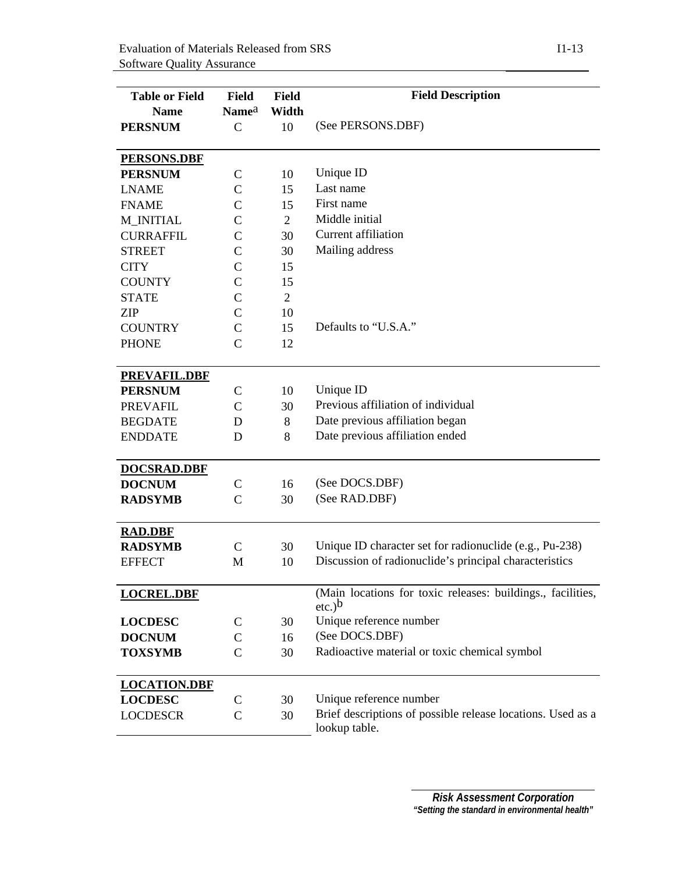| <b>Table or Field</b> | Field             | Field          | <b>Field Description</b>                                                     |  |
|-----------------------|-------------------|----------------|------------------------------------------------------------------------------|--|
| <b>Name</b>           | Name <sup>a</sup> | Width          |                                                                              |  |
| <b>PERSNUM</b>        | $\mathbf C$       | 10             | (See PERSONS.DBF)                                                            |  |
|                       |                   |                |                                                                              |  |
| <b>PERSONS.DBF</b>    |                   |                |                                                                              |  |
| <b>PERSNUM</b>        | $\mathsf{C}$      | 10             | Unique ID                                                                    |  |
| <b>LNAME</b>          | $\mathsf{C}$      | 15             | Last name                                                                    |  |
| <b>FNAME</b>          | $\mathsf{C}$      | 15             | First name                                                                   |  |
| <b>M_INITIAL</b>      | $\mathsf{C}$      | $\overline{2}$ | Middle initial                                                               |  |
| <b>CURRAFFIL</b>      | $\mathcal{C}$     | 30             | Current affiliation                                                          |  |
| <b>STREET</b>         | $\mathcal{C}$     | 30             | Mailing address                                                              |  |
| <b>CITY</b>           | $\mathsf{C}$      | 15             |                                                                              |  |
| <b>COUNTY</b>         | $\mathcal{C}$     | 15             |                                                                              |  |
| <b>STATE</b>          | $\mathsf{C}$      | $\overline{2}$ |                                                                              |  |
| <b>ZIP</b>            | $\mathsf{C}$      | 10             |                                                                              |  |
| <b>COUNTRY</b>        | $\mathsf{C}$      | 15             | Defaults to "U.S.A."                                                         |  |
| <b>PHONE</b>          | $\mathcal{C}$     | 12             |                                                                              |  |
|                       |                   |                |                                                                              |  |
| <b>PREVAFIL.DBF</b>   |                   |                |                                                                              |  |
| <b>PERSNUM</b>        | C                 | 10             | Unique ID                                                                    |  |
| <b>PREVAFIL</b>       | $\mathsf{C}$      | 30             | Previous affiliation of individual                                           |  |
| <b>BEGDATE</b>        | D                 | 8              | Date previous affiliation began                                              |  |
| <b>ENDDATE</b>        | D                 | 8              | Date previous affiliation ended                                              |  |
|                       |                   |                |                                                                              |  |
| <b>DOCSRAD.DBF</b>    |                   |                |                                                                              |  |
| <b>DOCNUM</b>         | $\mathsf{C}$      | 16             | (See DOCS.DBF)                                                               |  |
| <b>RADSYMB</b>        | $\mathsf{C}$      | 30             | (See RAD.DBF)                                                                |  |
|                       |                   |                |                                                                              |  |
| <b>RAD.DBF</b>        |                   |                |                                                                              |  |
| <b>RADSYMB</b>        | $\mathcal{C}$     | 30             | Unique ID character set for radionuclide (e.g., Pu-238)                      |  |
| <b>EFFECT</b>         | M                 | 10             | Discussion of radionuclide's principal characteristics                       |  |
|                       |                   |                |                                                                              |  |
| <b>LOCREL.DBF</b>     |                   |                | (Main locations for toxic releases: buildings., facilities,                  |  |
|                       |                   |                | etc.) <sup>b</sup>                                                           |  |
| <b>LOCDESC</b>        | C                 | 30             | Unique reference number                                                      |  |
| <b>DOCNUM</b>         | $\mathsf{C}$      | 16             | (See DOCS.DBF)                                                               |  |
| <b>TOXSYMB</b>        | $\mathsf{C}$      | 30             | Radioactive material or toxic chemical symbol                                |  |
|                       |                   |                |                                                                              |  |
| <b>LOCATION.DBF</b>   |                   |                |                                                                              |  |
| <b>LOCDESC</b>        | $\mathsf{C}$      | 30             | Unique reference number                                                      |  |
| <b>LOCDESCR</b>       | $\mathsf{C}$      | 30             | Brief descriptions of possible release locations. Used as a<br>lookup table. |  |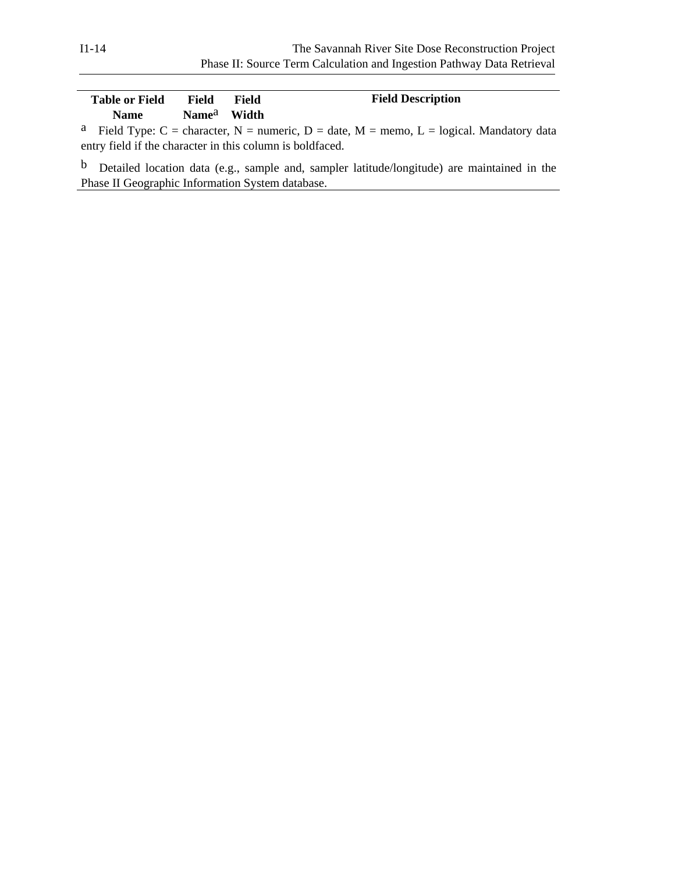| <b>Table or Field</b><br><b>Name</b> | Field<br>Name <sup>a</sup> Width | Field | <b>Field Description</b>                                                                             |
|--------------------------------------|----------------------------------|-------|------------------------------------------------------------------------------------------------------|
|                                      |                                  |       | <sup>a</sup> Field Type: C = character, N = numeric, D = date, M = memo, L = logical. Mandatory data |

entry field if the character in this column is boldfaced.

b Detailed location data (e.g., sample and, sampler latitude/longitude) are maintained in the Phase II Geographic Information System database.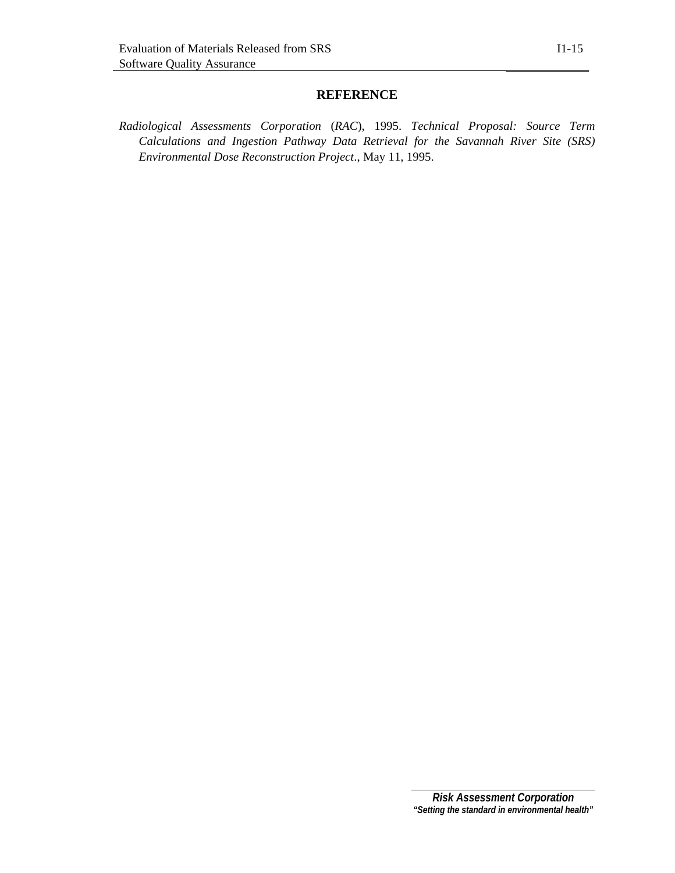# **REFERENCE**

*Radiological Assessments Corporation* (*RAC*), 1995. *Technical Proposal: Source Term Calculations and Ingestion Pathway Data Retrieval for the Savannah River Site (SRS) Environmental Dose Reconstruction Project*., May 11, 1995.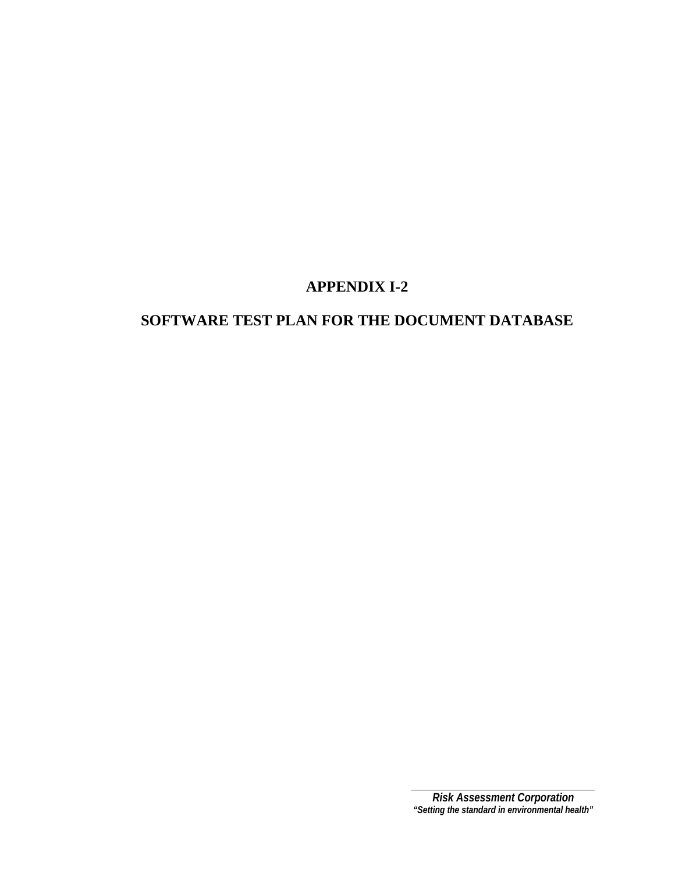# **SOFTWARE TEST PLAN FOR THE DOCUMENT DATABASE**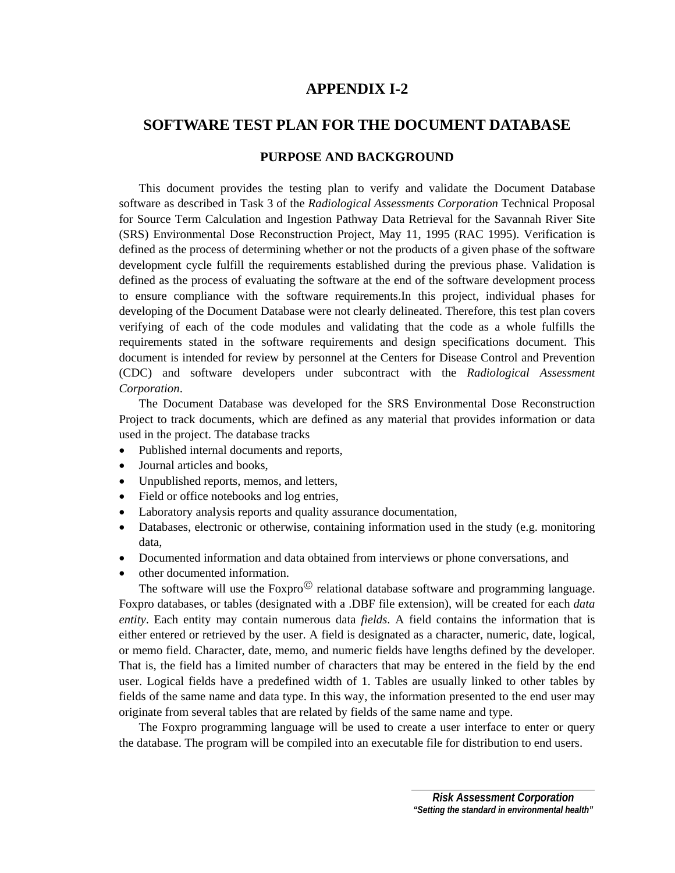# **SOFTWARE TEST PLAN FOR THE DOCUMENT DATABASE**

### **PURPOSE AND BACKGROUND**

 This document provides the testing plan to verify and validate the Document Database software as described in Task 3 of the *Radiological Assessments Corporation* Technical Proposal for Source Term Calculation and Ingestion Pathway Data Retrieval for the Savannah River Site (SRS) Environmental Dose Reconstruction Project, May 11, 1995 (RAC 1995). Verification is defined as the process of determining whether or not the products of a given phase of the software development cycle fulfill the requirements established during the previous phase. Validation is defined as the process of evaluating the software at the end of the software development process to ensure compliance with the software requirements.In this project, individual phases for developing of the Document Database were not clearly delineated. Therefore, this test plan covers verifying of each of the code modules and validating that the code as a whole fulfills the requirements stated in the software requirements and design specifications document. This document is intended for review by personnel at the Centers for Disease Control and Prevention (CDC) and software developers under subcontract with the *Radiological Assessment Corporation*.

 The Document Database was developed for the SRS Environmental Dose Reconstruction Project to track documents, which are defined as any material that provides information or data used in the project. The database tracks

- Published internal documents and reports,
- Journal articles and books,
- Unpublished reports, memos, and letters,
- Field or office notebooks and log entries,
- Laboratory analysis reports and quality assurance documentation,
- Databases, electronic or otherwise, containing information used in the study (e.g. monitoring data,
- Documented information and data obtained from interviews or phone conversations, and
- other documented information.

The software will use the Foxpro $\degree$  relational database software and programming language. Foxpro databases, or tables (designated with a .DBF file extension), will be created for each *data entity*. Each entity may contain numerous data *fields*. A field contains the information that is either entered or retrieved by the user. A field is designated as a character, numeric, date, logical, or memo field. Character, date, memo, and numeric fields have lengths defined by the developer. That is, the field has a limited number of characters that may be entered in the field by the end user. Logical fields have a predefined width of 1. Tables are usually linked to other tables by fields of the same name and data type. In this way, the information presented to the end user may originate from several tables that are related by fields of the same name and type.

 The Foxpro programming language will be used to create a user interface to enter or query the database. The program will be compiled into an executable file for distribution to end users.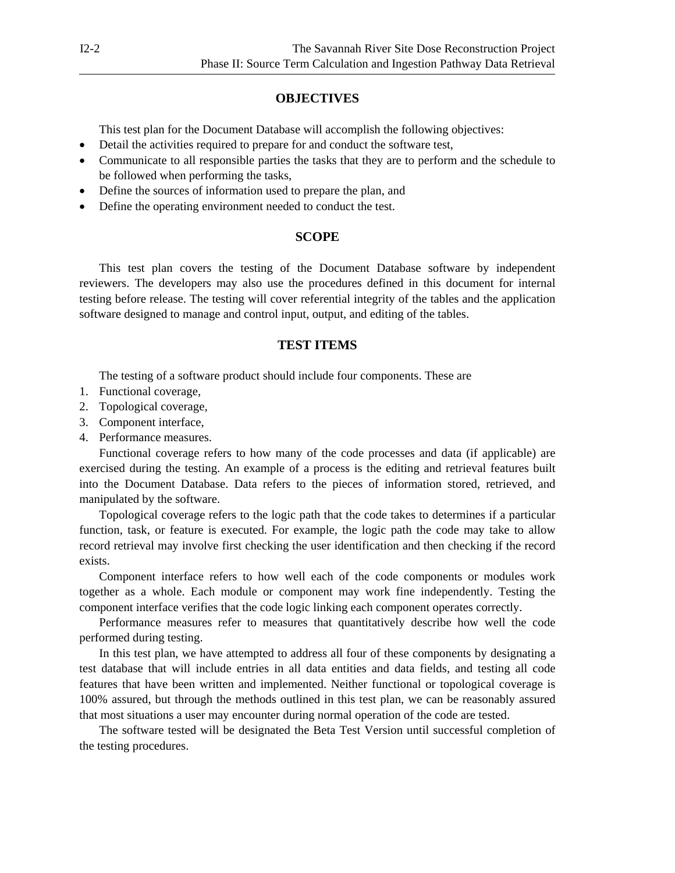## **OBJECTIVES**

This test plan for the Document Database will accomplish the following objectives:

- Detail the activities required to prepare for and conduct the software test,
- Communicate to all responsible parties the tasks that they are to perform and the schedule to be followed when performing the tasks,
- Define the sources of information used to prepare the plan, and
- Define the operating environment needed to conduct the test.

### **SCOPE**

This test plan covers the testing of the Document Database software by independent reviewers. The developers may also use the procedures defined in this document for internal testing before release. The testing will cover referential integrity of the tables and the application software designed to manage and control input, output, and editing of the tables.

# **TEST ITEMS**

The testing of a software product should include four components. These are

- 1. Functional coverage,
- 2. Topological coverage,
- 3. Component interface,
- 4. Performance measures.

 Functional coverage refers to how many of the code processes and data (if applicable) are exercised during the testing. An example of a process is the editing and retrieval features built into the Document Database. Data refers to the pieces of information stored, retrieved, and manipulated by the software.

 Topological coverage refers to the logic path that the code takes to determines if a particular function, task, or feature is executed. For example, the logic path the code may take to allow record retrieval may involve first checking the user identification and then checking if the record exists.

 Component interface refers to how well each of the code components or modules work together as a whole. Each module or component may work fine independently. Testing the component interface verifies that the code logic linking each component operates correctly.

 Performance measures refer to measures that quantitatively describe how well the code performed during testing.

 In this test plan, we have attempted to address all four of these components by designating a test database that will include entries in all data entities and data fields, and testing all code features that have been written and implemented. Neither functional or topological coverage is 100% assured, but through the methods outlined in this test plan, we can be reasonably assured that most situations a user may encounter during normal operation of the code are tested.

 The software tested will be designated the Beta Test Version until successful completion of the testing procedures.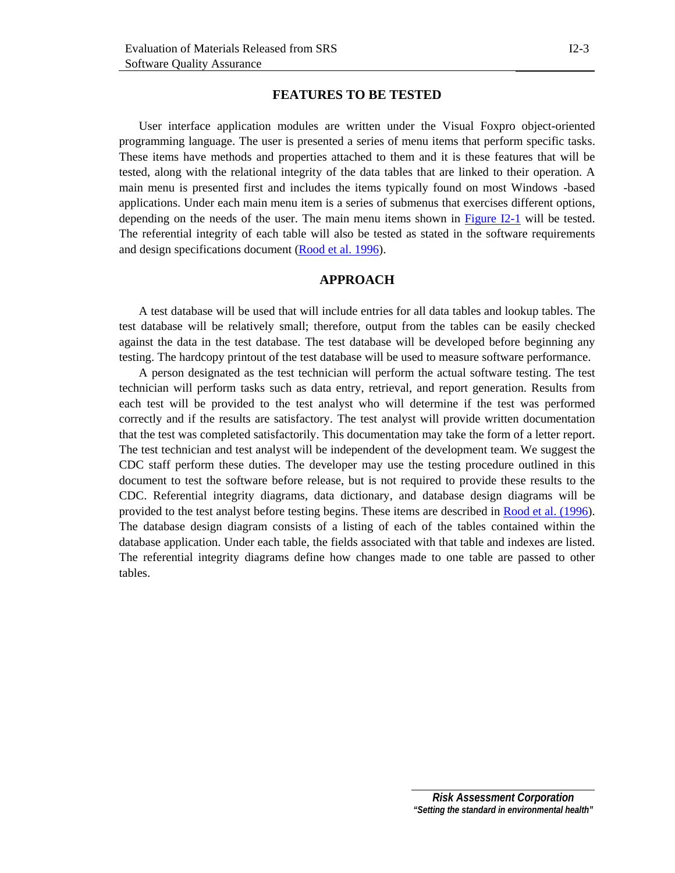### **FEATURES TO BE TESTED**

User interface application modules are written under the Visual Foxpro object-oriented programming language. The user is presented a series of menu items that perform specific tasks. These items have methods and properties attached to them and it is these features that will be tested, along with the relational integrity of the data tables that are linked to their operation. A main menu is presented first and includes the items typically found on most Windows -based applications. Under each main menu item is a series of submenus that exercises different options, depending on the needs of the user. The main menu items shown in  $Figure I2-1$  will be tested. The referential integrity of each table will also be tested as stated in the software requirements and design specifications document [\(Rood et al. 1996\)](#page-26-0).

### **APPROACH**

 A test database will be used that will include entries for all data tables and lookup tables. The test database will be relatively small; therefore, output from the tables can be easily checked against the data in the test database. The test database will be developed before beginning any testing. The hardcopy printout of the test database will be used to measure software performance.

 A person designated as the test technician will perform the actual software testing. The test technician will perform tasks such as data entry, retrieval, and report generation. Results from each test will be provided to the test analyst who will determine if the test was performed correctly and if the results are satisfactory. The test analyst will provide written documentation that the test was completed satisfactorily. This documentation may take the form of a letter report. The test technician and test analyst will be independent of the development team. We suggest the CDC staff perform these duties. The developer may use the testing procedure outlined in this document to test the software before release, but is not required to provide these results to the CDC. Referential integrity diagrams, data dictionary, and database design diagrams will be provided to the test analyst before testing begins. These items are described in [Rood et al. \(1996\)](#page-26-0). The database design diagram consists of a listing of each of the tables contained within the database application. Under each table, the fields associated with that table and indexes are listed. The referential integrity diagrams define how changes made to one table are passed to other tables.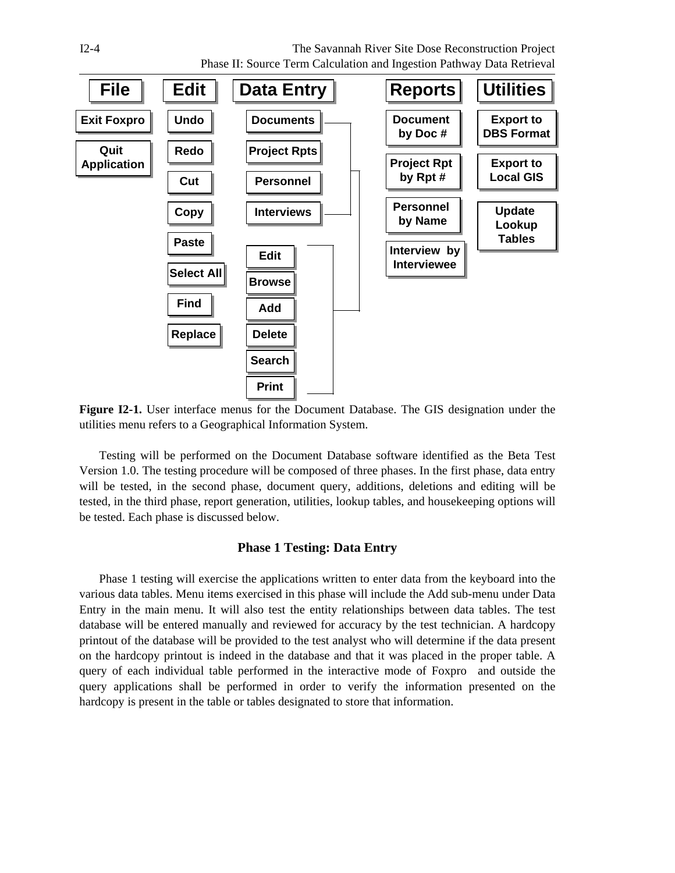<span id="page-23-0"></span>



**Figure I2-1.** User interface menus for the Document Database. The GIS designation under the utilities menu refers to a Geographical Information System.

 Testing will be performed on the Document Database software identified as the Beta Test Version 1.0. The testing procedure will be composed of three phases. In the first phase, data entry will be tested, in the second phase, document query, additions, deletions and editing will be tested, in the third phase, report generation, utilities, lookup tables, and housekeeping options will be tested. Each phase is discussed below.

## **Phase 1 Testing: Data Entry**

 Phase 1 testing will exercise the applications written to enter data from the keyboard into the various data tables. Menu items exercised in this phase will include the Add sub-menu under Data Entry in the main menu. It will also test the entity relationships between data tables. The test database will be entered manually and reviewed for accuracy by the test technician. A hardcopy printout of the database will be provided to the test analyst who will determine if the data present on the hardcopy printout is indeed in the database and that it was placed in the proper table. A query of each individual table performed in the interactive mode of Foxpro and outside the query applications shall be performed in order to verify the information presented on the hardcopy is present in the table or tables designated to store that information.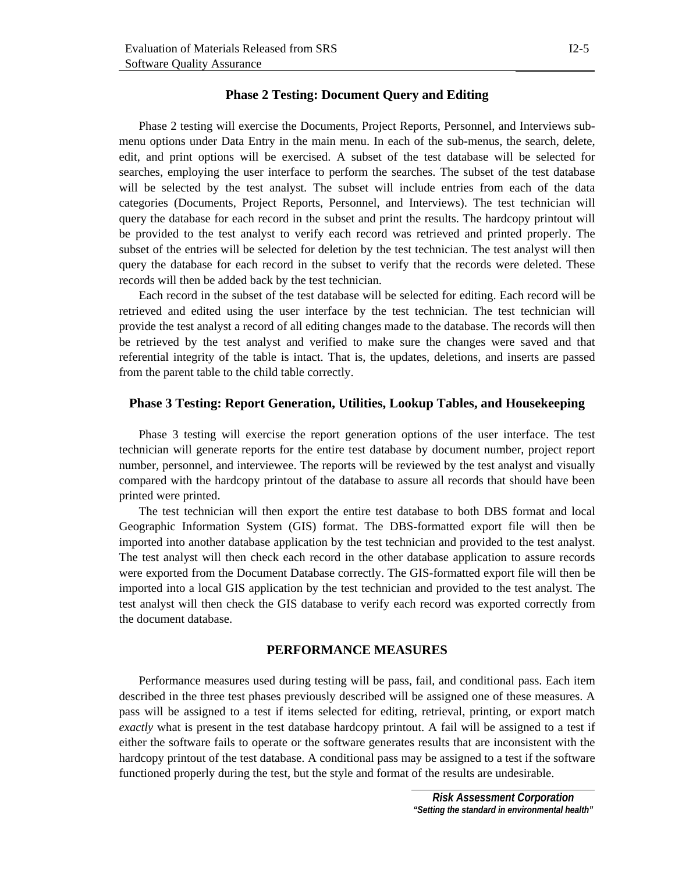## **Phase 2 Testing: Document Query and Editing**

 Phase 2 testing will exercise the Documents, Project Reports, Personnel, and Interviews submenu options under Data Entry in the main menu. In each of the sub-menus, the search, delete, edit, and print options will be exercised. A subset of the test database will be selected for searches, employing the user interface to perform the searches. The subset of the test database will be selected by the test analyst. The subset will include entries from each of the data categories (Documents, Project Reports, Personnel, and Interviews). The test technician will query the database for each record in the subset and print the results. The hardcopy printout will be provided to the test analyst to verify each record was retrieved and printed properly. The subset of the entries will be selected for deletion by the test technician. The test analyst will then query the database for each record in the subset to verify that the records were deleted. These records will then be added back by the test technician.

 Each record in the subset of the test database will be selected for editing. Each record will be retrieved and edited using the user interface by the test technician. The test technician will provide the test analyst a record of all editing changes made to the database. The records will then be retrieved by the test analyst and verified to make sure the changes were saved and that referential integrity of the table is intact. That is, the updates, deletions, and inserts are passed from the parent table to the child table correctly.

# **Phase 3 Testing: Report Generation, Utilities, Lookup Tables, and Housekeeping**

 Phase 3 testing will exercise the report generation options of the user interface. The test technician will generate reports for the entire test database by document number, project report number, personnel, and interviewee. The reports will be reviewed by the test analyst and visually compared with the hardcopy printout of the database to assure all records that should have been printed were printed.

 The test technician will then export the entire test database to both DBS format and local Geographic Information System (GIS) format. The DBS-formatted export file will then be imported into another database application by the test technician and provided to the test analyst. The test analyst will then check each record in the other database application to assure records were exported from the Document Database correctly. The GIS-formatted export file will then be imported into a local GIS application by the test technician and provided to the test analyst. The test analyst will then check the GIS database to verify each record was exported correctly from the document database.

## **PERFORMANCE MEASURES**

 Performance measures used during testing will be pass, fail, and conditional pass. Each item described in the three test phases previously described will be assigned one of these measures. A pass will be assigned to a test if items selected for editing, retrieval, printing, or export match *exactly* what is present in the test database hardcopy printout. A fail will be assigned to a test if either the software fails to operate or the software generates results that are inconsistent with the hardcopy printout of the test database. A conditional pass may be assigned to a test if the software functioned properly during the test, but the style and format of the results are undesirable.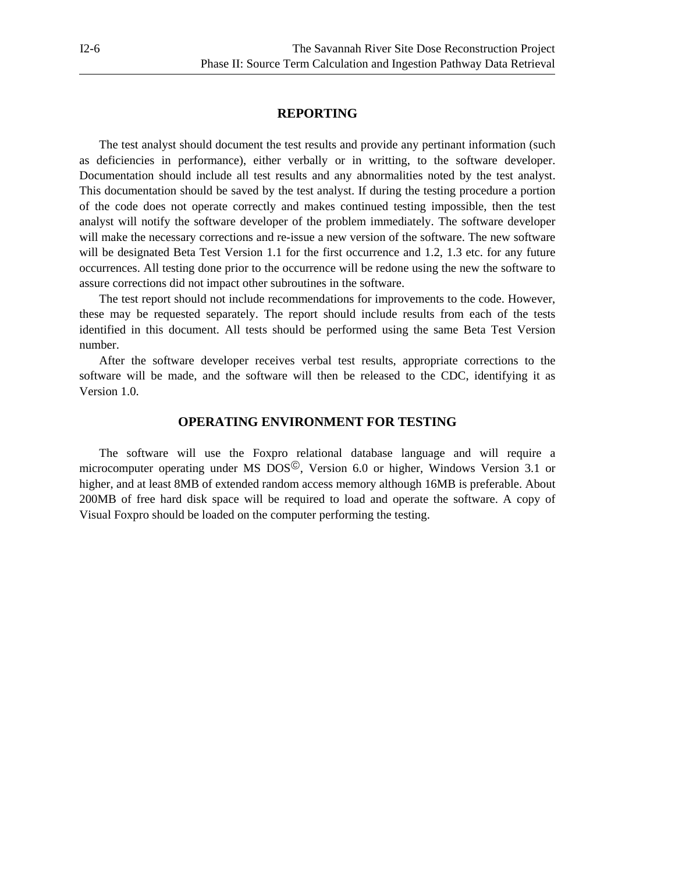#### **REPORTING**

 The test analyst should document the test results and provide any pertinant information (such as deficiencies in performance), either verbally or in writting, to the software developer. Documentation should include all test results and any abnormalities noted by the test analyst. This documentation should be saved by the test analyst. If during the testing procedure a portion of the code does not operate correctly and makes continued testing impossible, then the test analyst will notify the software developer of the problem immediately. The software developer will make the necessary corrections and re-issue a new version of the software. The new software will be designated Beta Test Version 1.1 for the first occurrence and 1.2, 1.3 etc. for any future occurrences. All testing done prior to the occurrence will be redone using the new the software to assure corrections did not impact other subroutines in the software.

 The test report should not include recommendations for improvements to the code. However, these may be requested separately. The report should include results from each of the tests identified in this document. All tests should be performed using the same Beta Test Version number.

 After the software developer receives verbal test results, appropriate corrections to the software will be made, and the software will then be released to the CDC, identifying it as Version 1.0.

#### **OPERATING ENVIRONMENT FOR TESTING**

The software will use the Foxpro relational database language and will require a microcomputer operating under MS  $DOS^{\circledcirc}$ , Version 6.0 or higher, Windows Version 3.1 or higher, and at least 8MB of extended random access memory although 16MB is preferable. About 200MB of free hard disk space will be required to load and operate the software. A copy of Visual Foxpro should be loaded on the computer performing the testing.